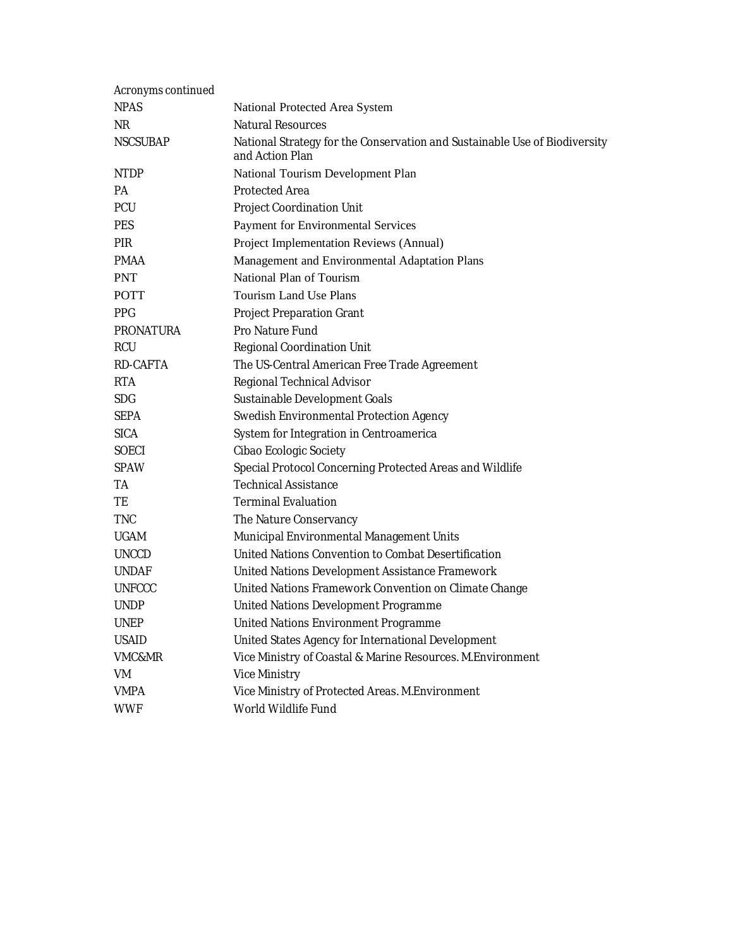| Acronyms continued |                                                                                               |
|--------------------|-----------------------------------------------------------------------------------------------|
| <b>NPAS</b>        | National Protected Area System                                                                |
| NR.                | <b>Natural Resources</b>                                                                      |
| <b>NSCSUBAP</b>    | National Strategy for the Conservation and Sustainable Use of Biodiversity<br>and Action Plan |
| <b>NTDP</b>        | National Tourism Development Plan                                                             |
| PА                 | <b>Protected Area</b>                                                                         |
| <b>PCU</b>         | <b>Project Coordination Unit</b>                                                              |
| <b>PES</b>         | Payment for Environmental Services                                                            |
| <b>PIR</b>         | Project Implementation Reviews (Annual)                                                       |
| <b>PMAA</b>        | Management and Environmental Adaptation Plans                                                 |
| <b>PNT</b>         | National Plan of Tourism                                                                      |
| <b>POTT</b>        | <b>Tourism Land Use Plans</b>                                                                 |
| <b>PPG</b>         | <b>Project Preparation Grant</b>                                                              |
| <b>PRONATURA</b>   | Pro Nature Fund                                                                               |
| <b>RCU</b>         | <b>Regional Coordination Unit</b>                                                             |
| RD-CAFTA           | The US-Central American Free Trade Agreement                                                  |
| <b>RTA</b>         | Regional Technical Advisor                                                                    |
| SDG                | Sustainable Development Goals                                                                 |
| <b>SEPA</b>        | Swedish Environmental Protection Agency                                                       |
| <b>SICA</b>        | System for Integration in Centroamerica                                                       |
| <b>SOECI</b>       | Cibao Ecologic Society                                                                        |
| <b>SPAW</b>        | Special Protocol Concerning Protected Areas and Wildlife                                      |
| ТA                 | <b>Technical Assistance</b>                                                                   |
| TE                 | <b>Terminal Evaluation</b>                                                                    |
| <b>TNC</b>         | The Nature Conservancy                                                                        |
| <b>UGAM</b>        | Municipal Environmental Management Units                                                      |
| <b>UNCCD</b>       | United Nations Convention to Combat Desertification                                           |
| <b>UNDAF</b>       | United Nations Development Assistance Framework                                               |
| <b>UNFCCC</b>      | United Nations Framework Convention on Climate Change                                         |
| <b>UNDP</b>        | United Nations Development Programme                                                          |
| <b>UNEP</b>        | United Nations Environment Programme                                                          |
| <b>USAID</b>       | United States Agency for International Development                                            |
| VMC&MR             | Vice Ministry of Coastal & Marine Resources. M.Environment                                    |
| VM                 | <b>Vice Ministry</b>                                                                          |
| <b>VMPA</b>        | Vice Ministry of Protected Areas. M. Environment                                              |
| <b>WWF</b>         | World Wildlife Fund                                                                           |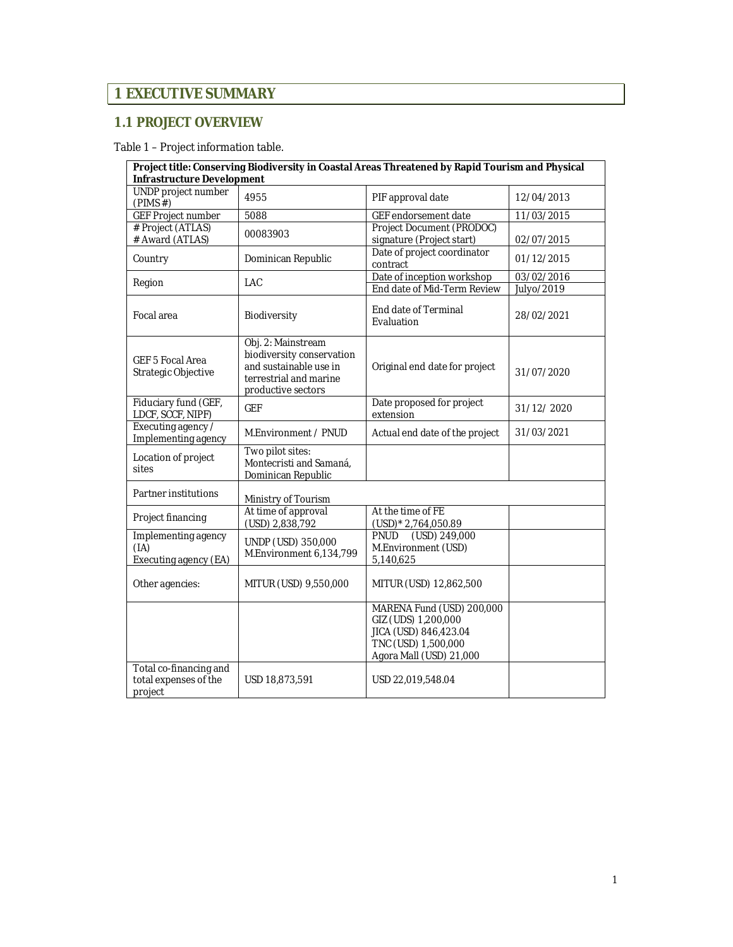# **1 EXECUTIVE SUMMARY**

### **1.1 PROJECT OVERVIEW**

### Table 1 – Project information table.

| Project title: Conserving Biodiversity in Coastal Areas Threatened by Rapid Tourism and Physical<br><b>Infrastructure Development</b> |                                                                                                                           |                                                                                                                             |                          |  |
|---------------------------------------------------------------------------------------------------------------------------------------|---------------------------------------------------------------------------------------------------------------------------|-----------------------------------------------------------------------------------------------------------------------------|--------------------------|--|
| <b>UNDP</b> project number<br>(PIMS#)                                                                                                 | 4955                                                                                                                      | PIF approval date                                                                                                           | 12/04/2013               |  |
| <b>GEF Project number</b>                                                                                                             | 5088                                                                                                                      | GEF endorsement date                                                                                                        | 11/03/2015               |  |
| # Project (ATLAS)<br># Award (ATLAS)                                                                                                  | 00083903                                                                                                                  | Project Document (PRODOC)<br>signature (Project start)                                                                      | 02/07/2015               |  |
| Country                                                                                                                               | Dominican Republic                                                                                                        | Date of project coordinator<br>contract                                                                                     | 01/12/2015               |  |
| Region                                                                                                                                | LAC                                                                                                                       | Date of inception workshop<br>End date of Mid-Term Review                                                                   | 03/02/2016<br>Julyo/2019 |  |
| Focal area                                                                                                                            | Biodiversity                                                                                                              | <b>End date of Terminal</b><br>Evaluation                                                                                   | 28/02/2021               |  |
| <b>GEF 5 Focal Area</b><br>Strategic Objective                                                                                        | Obj. 2: Mainstream<br>biodiversity conservation<br>and sustainable use in<br>terrestrial and marine<br>productive sectors | Original end date for project                                                                                               | 31/07/2020               |  |
| Fiduciary fund (GEF,<br>LDCF, SCCF, NIPF)                                                                                             | <b>GEF</b>                                                                                                                | Date proposed for project<br>extension                                                                                      | 31/12/2020               |  |
| Executing agency /<br>Implementing agency                                                                                             | M.Environment / PNUD                                                                                                      | Actual end date of the project                                                                                              | 31/03/2021               |  |
| Location of project<br>sites                                                                                                          | Two pilot sites:<br>Montecristi and Samaná,<br>Dominican Republic                                                         |                                                                                                                             |                          |  |
| Partner institutions                                                                                                                  | Ministry of Tourism                                                                                                       |                                                                                                                             |                          |  |
| Project financing                                                                                                                     | At time of approval<br>(USD) 2,838,792                                                                                    | At the time of FE<br>(USD)* 2,764,050.89                                                                                    |                          |  |
| Implementing agency<br>(IA)<br>Executing agency (EA)                                                                                  | UNDP (USD) 350,000<br>M.Environment 6,134,799                                                                             | (USD) 249,000<br>PNUD<br>M.Environment (USD)<br>5,140,625                                                                   |                          |  |
| Other agencies:                                                                                                                       | MITUR (USD) 9,550,000                                                                                                     | MITUR (USD) 12,862,500                                                                                                      |                          |  |
|                                                                                                                                       |                                                                                                                           | MARENA Fund (USD) 200,000<br>GIZ (UDS) 1,200,000<br>JICA (USD) 846,423.04<br>TNC (USD) 1,500,000<br>Agora Mall (USD) 21,000 |                          |  |
| Total co-financing and<br>total expenses of the<br>project                                                                            | USD 18,873,591                                                                                                            | USD 22,019,548.04                                                                                                           |                          |  |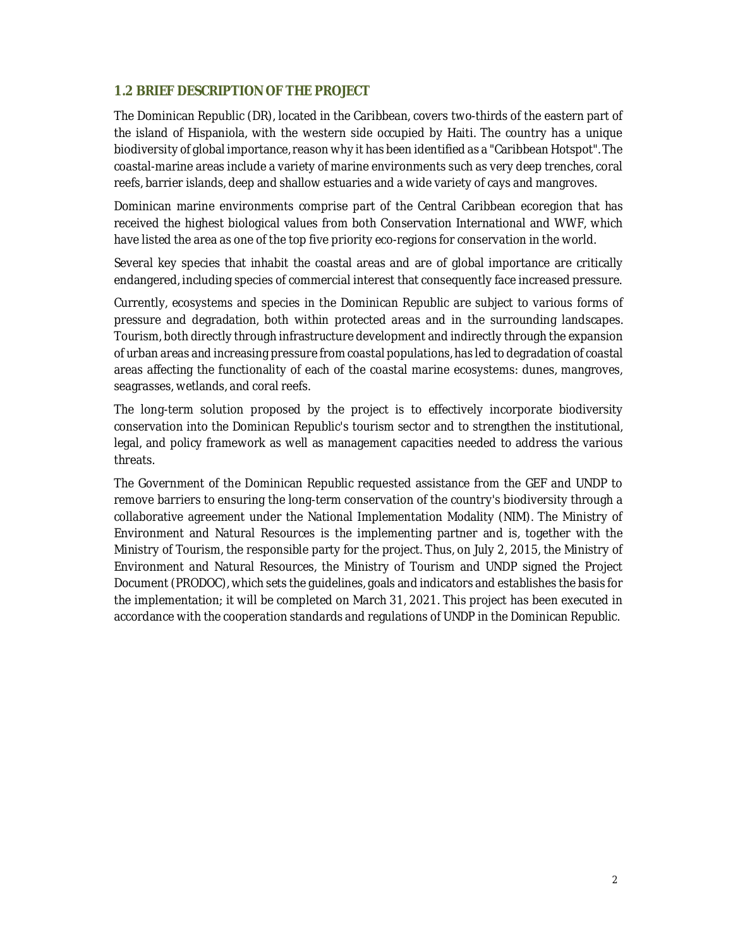### **1.2 BRIEF DESCRIPTION OF THE PROJECT**

The Dominican Republic (DR), located in the Caribbean, covers two-thirds of the eastern part of the island of Hispaniola, with the western side occupied by Haiti. The country has a unique biodiversity of global importance, reason why it has been identified as a "Caribbean Hotspot". The coastal-marine areas include a variety of marine environments such as very deep trenches, coral reefs, barrier islands, deep and shallow estuaries and a wide variety of cays and mangroves.

Dominican marine environments comprise part of the Central Caribbean ecoregion that has received the highest biological values from both Conservation International and WWF, which have listed the area as one of the top five priority eco-regions for conservation in the world.

Several key species that inhabit the coastal areas and are of global importance are critically endangered, including species of commercial interest that consequently face increased pressure.

Currently, ecosystems and species in the Dominican Republic are subject to various forms of pressure and degradation, both within protected areas and in the surrounding landscapes. Tourism, both directly through infrastructure development and indirectly through the expansion of urban areas and increasing pressure from coastal populations, has led to degradation of coastal areas affecting the functionality of each of the coastal marine ecosystems: dunes, mangroves, seagrasses, wetlands, and coral reefs.

The long-term solution proposed by the project is to effectively incorporate biodiversity conservation into the Dominican Republic's tourism sector and to strengthen the institutional, legal, and policy framework as well as management capacities needed to address the various threats.

The Government of the Dominican Republic requested assistance from the GEF and UNDP to remove barriers to ensuring the long-term conservation of the country's biodiversity through a collaborative agreement under the National Implementation Modality (NIM). The Ministry of Environment and Natural Resources is the implementing partner and is, together with the Ministry of Tourism, the responsible party for the project. Thus, on July 2, 2015, the Ministry of Environment and Natural Resources, the Ministry of Tourism and UNDP signed the Project Document (PRODOC), which sets the guidelines, goals and indicators and establishes the basis for the implementation; it will be completed on March 31, 2021. This project has been executed in accordance with the cooperation standards and regulations of UNDP in the Dominican Republic.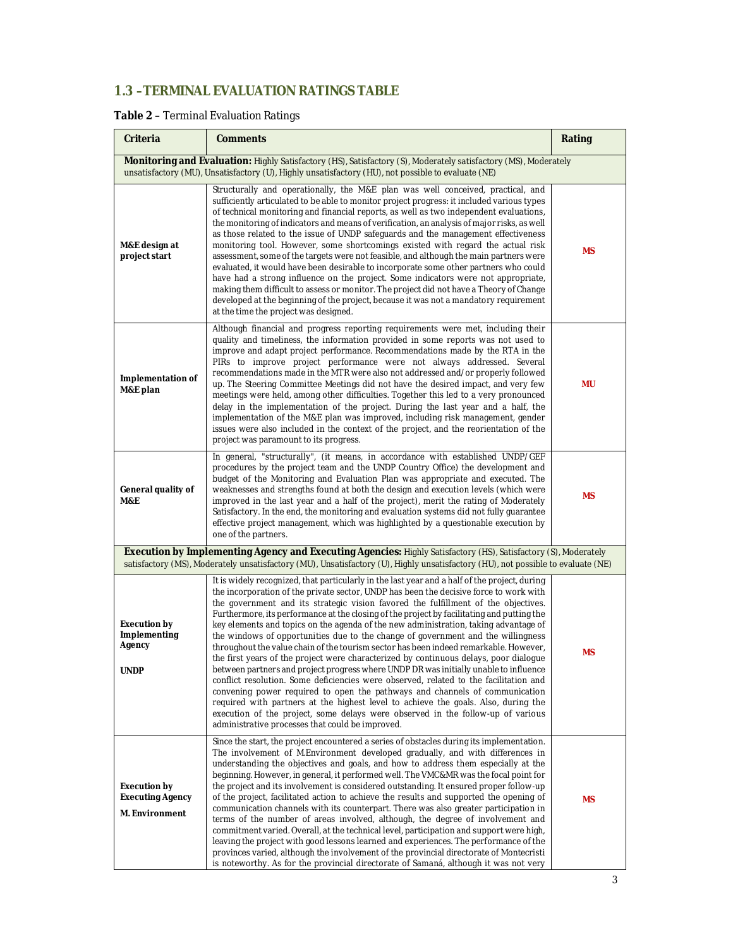# **1.3 –TERMINAL EVALUATION RATINGS TABLE**

### **Table 2** – Terminal Evaluation Ratings

| Criteria                                                                                                                                                                                                                                            | <b>Comments</b>                                                                                                                                                                                                                                                                                                                                                                                                                                                                                                                                                                                                                                                                                                                                                                                                                                                                                                                                                                                                                                                                                                                                                                                                                         |           |  |  |
|-----------------------------------------------------------------------------------------------------------------------------------------------------------------------------------------------------------------------------------------------------|-----------------------------------------------------------------------------------------------------------------------------------------------------------------------------------------------------------------------------------------------------------------------------------------------------------------------------------------------------------------------------------------------------------------------------------------------------------------------------------------------------------------------------------------------------------------------------------------------------------------------------------------------------------------------------------------------------------------------------------------------------------------------------------------------------------------------------------------------------------------------------------------------------------------------------------------------------------------------------------------------------------------------------------------------------------------------------------------------------------------------------------------------------------------------------------------------------------------------------------------|-----------|--|--|
| Monitoring and Evaluation: Highly Satisfactory (HS), Satisfactory (S), Moderately satisfactory (MS), Moderately<br>unsatisfactory (MU), Unsatisfactory (U), Highly unsatisfactory (HU), not possible to evaluate (NE)                               |                                                                                                                                                                                                                                                                                                                                                                                                                                                                                                                                                                                                                                                                                                                                                                                                                                                                                                                                                                                                                                                                                                                                                                                                                                         |           |  |  |
| M&E design at<br>project start                                                                                                                                                                                                                      | Structurally and operationally, the M&E plan was well conceived, practical, and<br>sufficiently articulated to be able to monitor project progress: it included various types<br>of technical monitoring and financial reports, as well as two independent evaluations,<br>the monitoring of indicators and means of verification, an analysis of major risks, as well<br>as those related to the issue of UNDP safeguards and the management effectiveness<br>monitoring tool. However, some shortcomings existed with regard the actual risk<br>assessment, some of the targets were not feasible, and although the main partners were<br>evaluated, it would have been desirable to incorporate some other partners who could<br>have had a strong influence on the project. Some indicators were not appropriate,<br>making them difficult to assess or monitor. The project did not have a Theory of Change<br>developed at the beginning of the project, because it was not a mandatory requirement<br>at the time the project was designed.                                                                                                                                                                                      |           |  |  |
| <b>Implementation of</b><br>M&E plan                                                                                                                                                                                                                | Although financial and progress reporting requirements were met, including their<br>quality and timeliness, the information provided in some reports was not used to<br>improve and adapt project performance. Recommendations made by the RTA in the<br>PIRs to improve project performance were not always addressed. Several<br>recommendations made in the MTR were also not addressed and/or properly followed<br>up. The Steering Committee Meetings did not have the desired impact, and very few<br>meetings were held, among other difficulties. Together this led to a very pronounced<br>delay in the implementation of the project. During the last year and a half, the<br>implementation of the M&E plan was improved, including risk management, gender<br>issues were also included in the context of the project, and the reorientation of the<br>project was paramount to its progress.                                                                                                                                                                                                                                                                                                                               |           |  |  |
| General quality of<br>M&E                                                                                                                                                                                                                           | In general, "structurally", (it means, in accordance with established UNDP/GEF<br>procedures by the project team and the UNDP Country Office) the development and<br>budget of the Monitoring and Evaluation Plan was appropriate and executed. The<br>weaknesses and strengths found at both the design and execution levels (which were<br>improved in the last year and a half of the project), merit the rating of Moderately<br>Satisfactory. In the end, the monitoring and evaluation systems did not fully guarantee<br>effective project management, which was highlighted by a questionable execution by<br>one of the partners.                                                                                                                                                                                                                                                                                                                                                                                                                                                                                                                                                                                              | ΜS        |  |  |
| Execution by Implementing Agency and Executing Agencies: Highly Satisfactory (HS), Satisfactory (S), Moderately<br>satisfactory (MS), Moderately unsatisfactory (MU), Unsatisfactory (U), Highly unsatisfactory (HU), not possible to evaluate (NE) |                                                                                                                                                                                                                                                                                                                                                                                                                                                                                                                                                                                                                                                                                                                                                                                                                                                                                                                                                                                                                                                                                                                                                                                                                                         |           |  |  |
| <b>Execution by</b><br>Implementing<br>Agency<br><b>UNDP</b>                                                                                                                                                                                        | It is widely recognized, that particularly in the last year and a half of the project, during<br>the incorporation of the private sector, UNDP has been the decisive force to work with<br>the government and its strategic vision favored the fulfillment of the objectives.<br>Furthermore, its performance at the closing of the project by facilitating and putting the<br>key elements and topics on the agenda of the new administration, taking advantage of<br>the windows of opportunities due to the change of government and the willingness<br>throughout the value chain of the tourism sector has been indeed remarkable. However,<br>the first years of the project were characterized by continuous delays, poor dialogue<br>between partners and project progress where UNDP DR was initially unable to influence<br>conflict resolution. Some deficiencies were observed, related to the facilitation and<br>convening power required to open the pathways and channels of communication<br>required with partners at the highest level to achieve the goals. Also, during the<br>execution of the project, some delays were observed in the follow-up of various<br>administrative processes that could be improved. | <b>MS</b> |  |  |
| <b>Execution by</b><br><b>Executing Agency</b><br>M. Environment                                                                                                                                                                                    | Since the start, the project encountered a series of obstacles during its implementation.<br>The involvement of M.Environment developed gradually, and with differences in<br>understanding the objectives and goals, and how to address them especially at the<br>beginning. However, in general, it performed well. The VMC&MR was the focal point for<br>the project and its involvement is considered outstanding. It ensured proper follow-up<br>of the project, facilitated action to achieve the results and supported the opening of<br>communication channels with its counterpart. There was also greater participation in<br>terms of the number of areas involved, although, the degree of involvement and<br>commitment varied. Overall, at the technical level, participation and support were high,<br>leaving the project with good lessons learned and experiences. The performance of the<br>provinces varied, although the involvement of the provincial directorate of Montecristi<br>is noteworthy. As for the provincial directorate of Samaná, although it was not very                                                                                                                                          | <b>MS</b> |  |  |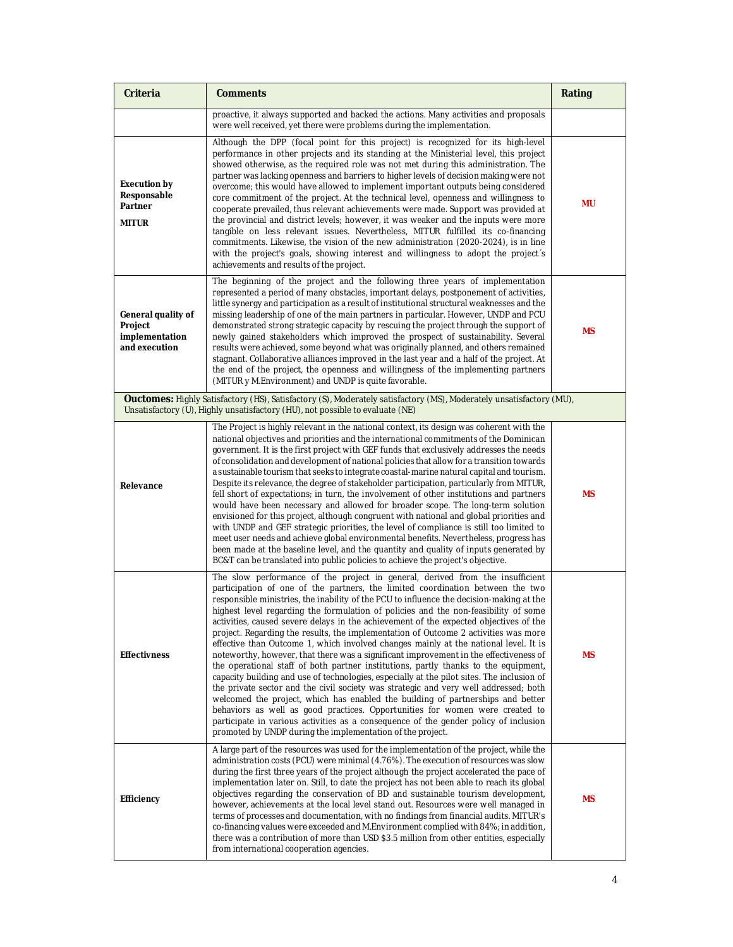| Criteria                                                         | <b>Comments</b>                                                                                                                                                                                                                                                                                                                                                                                                                                                                                                                                                                                                                                                                                                                                                                                                                                                                                                                                                                                                                                                                                                                                                                                                                                                                                                           | Rating |
|------------------------------------------------------------------|---------------------------------------------------------------------------------------------------------------------------------------------------------------------------------------------------------------------------------------------------------------------------------------------------------------------------------------------------------------------------------------------------------------------------------------------------------------------------------------------------------------------------------------------------------------------------------------------------------------------------------------------------------------------------------------------------------------------------------------------------------------------------------------------------------------------------------------------------------------------------------------------------------------------------------------------------------------------------------------------------------------------------------------------------------------------------------------------------------------------------------------------------------------------------------------------------------------------------------------------------------------------------------------------------------------------------|--------|
|                                                                  | proactive, it always supported and backed the actions. Many activities and proposals<br>were well received, yet there were problems during the implementation.                                                                                                                                                                                                                                                                                                                                                                                                                                                                                                                                                                                                                                                                                                                                                                                                                                                                                                                                                                                                                                                                                                                                                            |        |
| <b>Execution by</b><br>Responsable<br>Partner<br><b>MITUR</b>    | Although the DPP (focal point for this project) is recognized for its high-level<br>performance in other projects and its standing at the Ministerial level, this project<br>showed otherwise, as the required role was not met during this administration. The<br>partner was lacking openness and barriers to higher levels of decision making were not<br>overcome; this would have allowed to implement important outputs being considered<br>core commitment of the project. At the technical level, openness and willingness to<br>cooperate prevailed, thus relevant achievements were made. Support was provided at<br>the provincial and district levels; however, it was weaker and the inputs were more<br>tangible on less relevant issues. Nevertheless, MITUR fulfilled its co-financing<br>commitments. Likewise, the vision of the new administration (2020-2024), is in line<br>with the project's goals, showing interest and willingness to adopt the project's<br>achievements and results of the project.                                                                                                                                                                                                                                                                                            | mu     |
| General quality of<br>Project<br>implementation<br>and execution | The beginning of the project and the following three years of implementation<br>represented a period of many obstacles, important delays, postponement of activities,<br>little synergy and participation as a result of institutional structural weaknesses and the<br>missing leadership of one of the main partners in particular. However, UNDP and PCU<br>demonstrated strong strategic capacity by rescuing the project through the support of<br>newly gained stakeholders which improved the prospect of sustainability. Several<br>results were achieved, some beyond what was originally planned, and others remained<br>stagnant. Collaborative alliances improved in the last year and a half of the project. At<br>the end of the project, the openness and willingness of the implementing partners<br>(MITUR y M. Environment) and UNDP is quite favorable.                                                                                                                                                                                                                                                                                                                                                                                                                                                |        |
|                                                                  | <b>Ouctomes:</b> Highly Satisfactory (HS), Satisfactory (S), Moderately satisfactory (MS), Moderately unsatisfactory (MU),<br>Unsatisfactory (U), Highly unsatisfactory (HU), not possible to evaluate (NE)                                                                                                                                                                                                                                                                                                                                                                                                                                                                                                                                                                                                                                                                                                                                                                                                                                                                                                                                                                                                                                                                                                               |        |
| Relevance                                                        | The Project is highly relevant in the national context, its design was coherent with the<br>national objectives and priorities and the international commitments of the Dominican<br>government. It is the first project with GEF funds that exclusively addresses the needs<br>of consolidation and development of national policies that allow for a transition towards<br>a sustainable tourism that seeks to integrate coastal-marine natural capital and tourism.<br>Despite its relevance, the degree of stakeholder participation, particularly from MITUR,<br>fell short of expectations; in turn, the involvement of other institutions and partners<br>would have been necessary and allowed for broader scope. The long-term solution<br>envisioned for this project, although congruent with national and global priorities and<br>with UNDP and GEF strategic priorities, the level of compliance is still too limited to<br>meet user needs and achieve global environmental benefits. Nevertheless, progress has<br>been made at the baseline level, and the quantity and quality of inputs generated by<br>BC&T can be translated into public policies to achieve the project's objective.                                                                                                                |        |
| <b>Effectivness</b>                                              | The slow performance of the project in general, derived from the insufficient<br>participation of one of the partners, the limited coordination between the two<br>responsible ministries, the inability of the PCU to influence the decision-making at the<br>highest level regarding the formulation of policies and the non-feasibility of some<br>activities, caused severe delays in the achievement of the expected objectives of the<br>project. Regarding the results, the implementation of Outcome 2 activities was more<br>effective than Outcome 1, which involved changes mainly at the national level. It is<br>noteworthy, however, that there was a significant improvement in the effectiveness of<br>the operational staff of both partner institutions, partly thanks to the equipment,<br>capacity building and use of technologies, especially at the pilot sites. The inclusion of<br>the private sector and the civil society was strategic and very well addressed; both<br>welcomed the project, which has enabled the building of partnerships and better<br>behaviors as well as good practices. Opportunities for women were created to<br>participate in various activities as a consequence of the gender policy of inclusion<br>promoted by UNDP during the implementation of the project. |        |
| <b>Efficiency</b>                                                | A large part of the resources was used for the implementation of the project, while the<br>administration costs (PCU) were minimal (4.76%). The execution of resources was slow<br>during the first three years of the project although the project accelerated the pace of<br>implementation later on. Still, to date the project has not been able to reach its global<br>objectives regarding the conservation of BD and sustainable tourism development,<br>however, achievements at the local level stand out. Resources were well managed in<br>terms of processes and documentation, with no findings from financial audits. MITUR's<br>co-financing values were exceeded and M.Environment complied with 84%; in addition,<br>there was a contribution of more than USD \$3.5 million from other entities, especially<br>from international cooperation agencies.                                                                                                                                                                                                                                                                                                                                                                                                                                                 | ΜS     |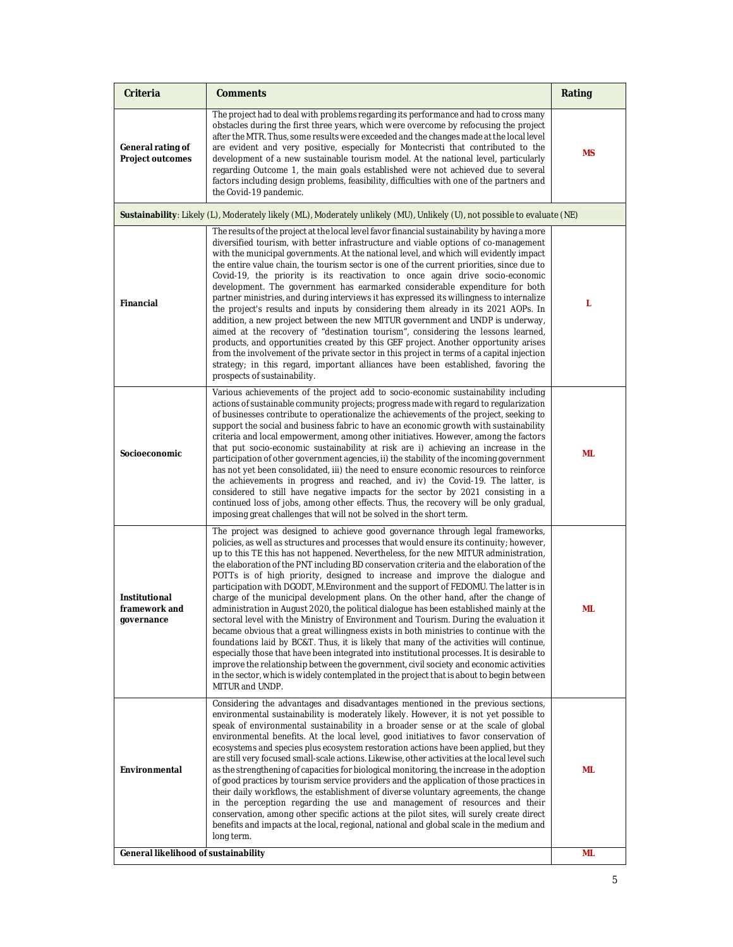| Criteria                                            | <b>Comments</b>                                                                                                                                                                                                                                                                                                                                                                                                                                                                                                                                                                                                                                                                                                                                                                                                                                                                                                                                                                                                                                                                                                                                                                                                                                                                                               | Rating |  |
|-----------------------------------------------------|---------------------------------------------------------------------------------------------------------------------------------------------------------------------------------------------------------------------------------------------------------------------------------------------------------------------------------------------------------------------------------------------------------------------------------------------------------------------------------------------------------------------------------------------------------------------------------------------------------------------------------------------------------------------------------------------------------------------------------------------------------------------------------------------------------------------------------------------------------------------------------------------------------------------------------------------------------------------------------------------------------------------------------------------------------------------------------------------------------------------------------------------------------------------------------------------------------------------------------------------------------------------------------------------------------------|--------|--|
| General rating of<br><b>Project outcomes</b>        | The project had to deal with problems regarding its performance and had to cross many<br>obstacles during the first three years, which were overcome by refocusing the project<br>after the MTR. Thus, some results were exceeded and the changes made at the local level<br>are evident and very positive, especially for Montecristi that contributed to the<br>development of a new sustainable tourism model. At the national level, particularly<br>regarding Outcome 1, the main goals established were not achieved due to several<br>factors including design problems, feasibility, difficulties with one of the partners and<br>the Covid-19 pandemic.                                                                                                                                                                                                                                                                                                                                                                                                                                                                                                                                                                                                                                              |        |  |
|                                                     | Sustainability: Likely (L), Moderately likely (ML), Moderately unlikely (MU), Unlikely (U), not possible to evaluate (NE)                                                                                                                                                                                                                                                                                                                                                                                                                                                                                                                                                                                                                                                                                                                                                                                                                                                                                                                                                                                                                                                                                                                                                                                     |        |  |
| <b>Financial</b>                                    | The results of the project at the local level favor financial sustainability by having a more<br>diversified tourism, with better infrastructure and viable options of co-management<br>with the municipal governments. At the national level, and which will evidently impact<br>the entire value chain, the tourism sector is one of the current priorities, since due to<br>Covid-19, the priority is its reactivation to once again drive socio-economic<br>development. The government has earmarked considerable expenditure for both<br>partner ministries, and during interviews it has expressed its willingness to internalize<br>the project's results and inputs by considering them already in its 2021 AOPs. In<br>addition, a new project between the new MITUR government and UNDP is underway,<br>aimed at the recovery of "destination tourism", considering the lessons learned,<br>products, and opportunities created by this GEF project. Another opportunity arises<br>from the involvement of the private sector in this project in terms of a capital injection<br>strategy; in this regard, important alliances have been established, favoring the<br>prospects of sustainability.                                                                                                 | L      |  |
| Socioeconomic                                       | Various achievements of the project add to socio-economic sustainability including<br>actions of sustainable community projects; progress made with regard to regularization<br>of businesses contribute to operationalize the achievements of the project, seeking to<br>support the social and business fabric to have an economic growth with sustainability<br>criteria and local empowerment, among other initiatives. However, among the factors<br>that put socio-economic sustainability at risk are i) achieving an increase in the<br>participation of other government agencies, ii) the stability of the incoming government<br>has not yet been consolidated, iii) the need to ensure economic resources to reinforce<br>the achievements in progress and reached, and iv) the Covid-19. The latter, is<br>considered to still have negative impacts for the sector by 2021 consisting in a<br>continued loss of jobs, among other effects. Thus, the recovery will be only gradual,<br>imposing great challenges that will not be solved in the short term.                                                                                                                                                                                                                                     |        |  |
| <b>Institutional</b><br>framework and<br>governance | The project was designed to achieve good governance through legal frameworks,<br>policies, as well as structures and processes that would ensure its continuity; however,<br>up to this TE this has not happened. Nevertheless, for the new MITUR administration,<br>the elaboration of the PNT including BD conservation criteria and the elaboration of the<br>POTTs is of high priority, designed to increase and improve the dialogue and<br>participation with DGODT, M. Environment and the support of FEDOMU. The latter is in<br>charge of the municipal development plans. On the other hand, after the change of<br>administration in August 2020, the political dialogue has been established mainly at the<br>sectoral level with the Ministry of Environment and Tourism. During the evaluation it<br>became obvious that a great willingness exists in both ministries to continue with the<br>foundations laid by BC&T. Thus, it is likely that many of the activities will continue,<br>especially those that have been integrated into institutional processes. It is desirable to<br>improve the relationship between the government, civil society and economic activities<br>in the sector, which is widely contemplated in the project that is about to begin between<br>MITUR and UNDP. |        |  |
| Environmental                                       | Considering the advantages and disadvantages mentioned in the previous sections,<br>environmental sustainability is moderately likely. However, it is not yet possible to<br>speak of environmental sustainability in a broader sense or at the scale of global<br>environmental benefits. At the local level, good initiatives to favor conservation of<br>ecosystems and species plus ecosystem restoration actions have been applied, but they<br>are still very focused small-scale actions. Likewise, other activities at the local level such<br>as the strengthening of capacities for biological monitoring, the increase in the adoption<br>of good practices by tourism service providers and the application of those practices in<br>their daily workflows, the establishment of diverse voluntary agreements, the change<br>in the perception regarding the use and management of resources and their<br>conservation, among other specific actions at the pilot sites, will surely create direct<br>benefits and impacts at the local, regional, national and global scale in the medium and<br>long term.                                                                                                                                                                                      |        |  |
| General likelihood of sustainability                |                                                                                                                                                                                                                                                                                                                                                                                                                                                                                                                                                                                                                                                                                                                                                                                                                                                                                                                                                                                                                                                                                                                                                                                                                                                                                                               |        |  |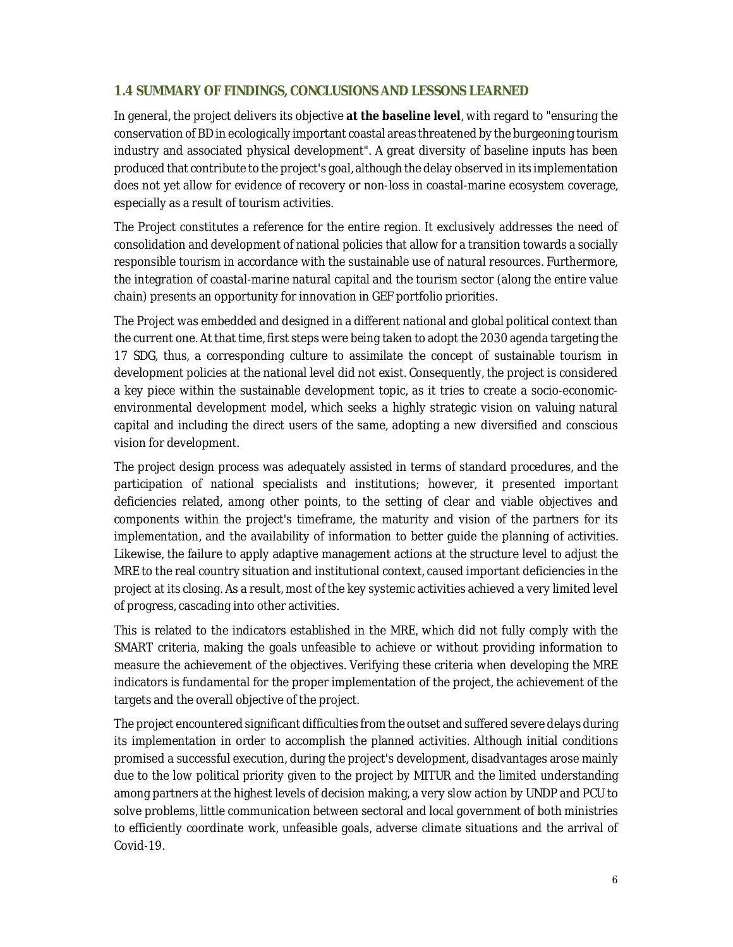### **1.4 SUMMARY OF FINDINGS, CONCLUSIONS AND LESSONS LEARNED**

In general, the project delivers its objective **at the baseline level**, with regard to "ensuring the conservation of BD in ecologically important coastal areas threatened by the burgeoning tourism industry and associated physical development". A great diversity of baseline inputs has been produced that contribute to the project's goal, although the delay observed in its implementation does not yet allow for evidence of recovery or non-loss in coastal-marine ecosystem coverage, especially as a result of tourism activities.

The Project constitutes a reference for the entire region. It exclusively addresses the need of consolidation and development of national policies that allow for a transition towards a socially responsible tourism in accordance with the sustainable use of natural resources. Furthermore, the integration of coastal-marine natural capital and the tourism sector (along the entire value chain) presents an opportunity for innovation in GEF portfolio priorities.

The Project was embedded and designed in a different national and global political context than the current one. At that time, first steps were being taken to adopt the 2030 agenda targeting the 17 SDG, thus, a corresponding culture to assimilate the concept of sustainable tourism in development policies at the national level did not exist. Consequently, the project is considered a key piece within the sustainable development topic, as it tries to create a socio-economicenvironmental development model, which seeks a highly strategic vision on valuing natural capital and including the direct users of the same, adopting a new diversified and conscious vision for development.

The project design process was adequately assisted in terms of standard procedures, and the participation of national specialists and institutions; however, it presented important deficiencies related, among other points, to the setting of clear and viable objectives and components within the project's timeframe, the maturity and vision of the partners for its implementation, and the availability of information to better guide the planning of activities. Likewise, the failure to apply adaptive management actions at the structure level to adjust the MRE to the real country situation and institutional context, caused important deficiencies in the project at its closing. As a result, most of the key systemic activities achieved a very limited level of progress, cascading into other activities.

This is related to the indicators established in the MRE, which did not fully comply with the SMART criteria, making the goals unfeasible to achieve or without providing information to measure the achievement of the objectives. Verifying these criteria when developing the MRE indicators is fundamental for the proper implementation of the project, the achievement of the targets and the overall objective of the project.

The project encountered significant difficulties from the outset and suffered severe delays during its implementation in order to accomplish the planned activities. Although initial conditions promised a successful execution, during the project's development, disadvantages arose mainly due to the low political priority given to the project by MITUR and the limited understanding among partners at the highest levels of decision making, a very slow action by UNDP and PCU to solve problems, little communication between sectoral and local government of both ministries to efficiently coordinate work, unfeasible goals, adverse climate situations and the arrival of Covid-19.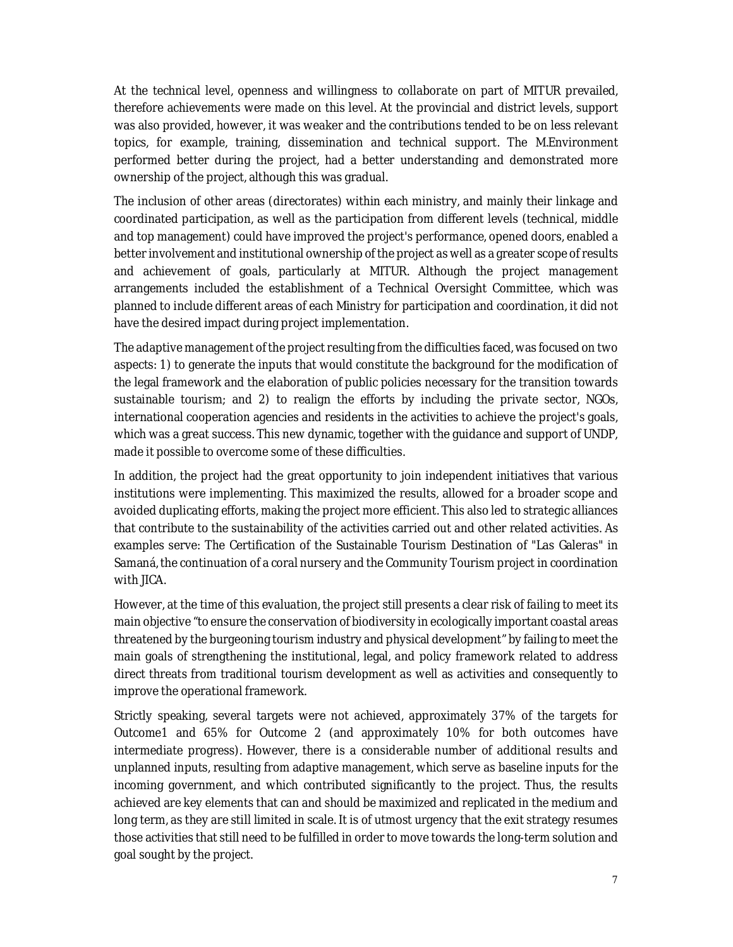At the technical level, openness and willingness to collaborate on part of MITUR prevailed, therefore achievements were made on this level. At the provincial and district levels, support was also provided, however, it was weaker and the contributions tended to be on less relevant topics, for example, training, dissemination and technical support. The M.Environment performed better during the project, had a better understanding and demonstrated more ownership of the project, although this was gradual.

The inclusion of other areas (directorates) within each ministry, and mainly their linkage and coordinated participation, as well as the participation from different levels (technical, middle and top management) could have improved the project's performance, opened doors, enabled a better involvement and institutional ownership of the project as well as a greater scope of results and achievement of goals, particularly at MITUR. Although the project management arrangements included the establishment of a Technical Oversight Committee, which was planned to include different areas of each Ministry for participation and coordination, it did not have the desired impact during project implementation.

The adaptive management of the project resulting from the difficulties faced, was focused on two aspects: 1) to generate the inputs that would constitute the background for the modification of the legal framework and the elaboration of public policies necessary for the transition towards sustainable tourism; and 2) to realign the efforts by including the private sector, NGOs, international cooperation agencies and residents in the activities to achieve the project's goals, which was a great success. This new dynamic, together with the guidance and support of UNDP, made it possible to overcome some of these difficulties.

In addition, the project had the great opportunity to join independent initiatives that various institutions were implementing. This maximized the results, allowed for a broader scope and avoided duplicating efforts, making the project more efficient. This also led to strategic alliances that contribute to the sustainability of the activities carried out and other related activities. As examples serve: The Certification of the Sustainable Tourism Destination of "Las Galeras" in Samaná, the continuation of a coral nursery and the Community Tourism project in coordination with JICA.

However, at the time of this evaluation, the project still presents a clear risk of failing to meet its main objective "to ensure the conservation of biodiversity in ecologically important coastal areas threatened by the burgeoning tourism industry and physical development" by failing to meet the main goals of strengthening the institutional, legal, and policy framework related to address direct threats from traditional tourism development as well as activities and consequently to improve the operational framework.

Strictly speaking, several targets were not achieved, approximately 37% of the targets for Outcome1 and 65% for Outcome 2 (and approximately 10% for both outcomes have intermediate progress). However, there is a considerable number of additional results and unplanned inputs, resulting from adaptive management, which serve as baseline inputs for the incoming government, and which contributed significantly to the project. Thus, the results achieved are key elements that can and should be maximized and replicated in the medium and long term, as they are still limited in scale. It is of utmost urgency that the exit strategy resumes those activities that still need to be fulfilled in order to move towards the long-term solution and goal sought by the project.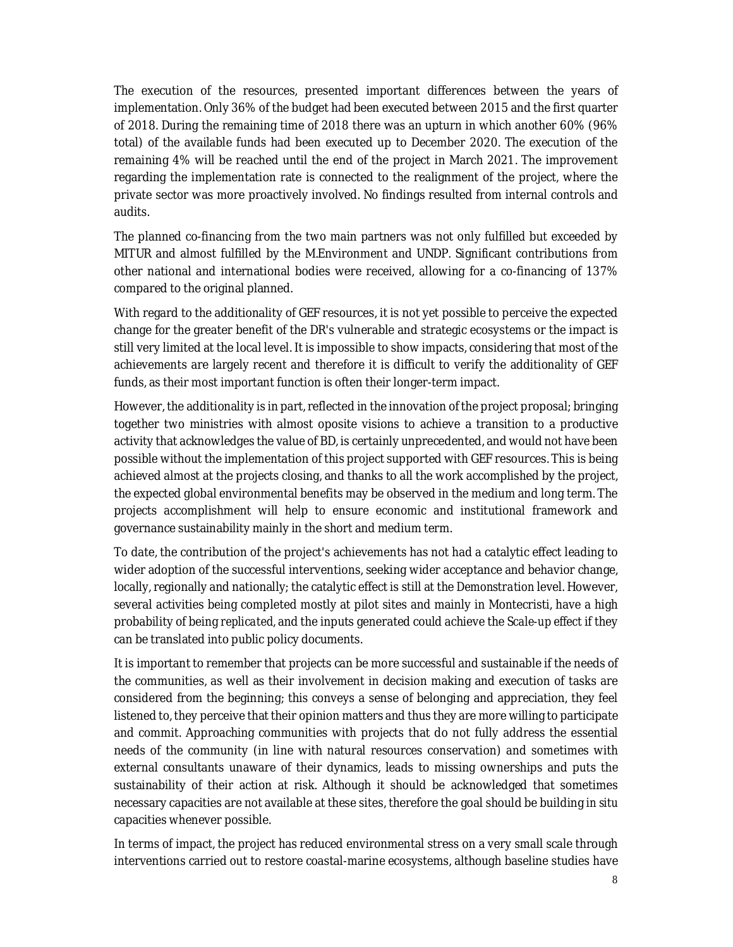The execution of the resources, presented important differences between the years of implementation. Only 36% of the budget had been executed between 2015 and the first quarter of 2018. During the remaining time of 2018 there was an upturn in which another 60% (96% total) of the available funds had been executed up to December 2020. The execution of the remaining 4% will be reached until the end of the project in March 2021. The improvement regarding the implementation rate is connected to the realignment of the project, where the private sector was more proactively involved. No findings resulted from internal controls and audits.

The planned co-financing from the two main partners was not only fulfilled but exceeded by MITUR and almost fulfilled by the M.Environment and UNDP. Significant contributions from other national and international bodies were received, allowing for a co-financing of 137% compared to the original planned.

With regard to the additionality of GEF resources, it is not yet possible to perceive the expected change for the greater benefit of the DR's vulnerable and strategic ecosystems or the impact is still very limited at the local level. It is impossible to show impacts, considering that most of the achievements are largely recent and therefore it is difficult to verify the additionality of GEF funds, as their most important function is often their longer-term impact.

However, the additionality is in part, reflected in the innovation of the project proposal; bringing together two ministries with almost oposite visions to achieve a transition to a productive activity that acknowledges the value of BD, is certainly unprecedented, and would not have been possible without the implementation of this project supported with GEF resources. This is being achieved almost at the projects closing, and thanks to all the work accomplished by the project, the expected global environmental benefits may be observed in the medium and long term. The projects accomplishment will help to ensure economic and institutional framework and governance sustainability mainly in the short and medium term.

To date, the contribution of the project's achievements has not had a catalytic effect leading to wider adoption of the successful interventions, seeking wider acceptance and behavior change, locally, regionally and nationally; the catalytic effect is still at the *Demonstration* level. However, several activities being completed mostly at pilot sites and mainly in Montecristi, have a high probability of being *replicated*, and the inputs generated could achieve the *Scale-up effect* if they can be translated into public policy documents.

It is important to remember that projects can be more successful and sustainable if the needs of the communities, as well as their involvement in decision making and execution of tasks are considered from the beginning; this conveys a sense of belonging and appreciation, they feel listened to, they perceive that their opinion matters and thus they are more willing to participate and commit. Approaching communities with projects that do not fully address the essential needs of the community (in line with natural resources conservation) and sometimes with external consultants unaware of their dynamics, leads to missing ownerships and puts the sustainability of their action at risk. Although it should be acknowledged that sometimes necessary capacities are not available at these sites, therefore the goal should be building *in situ* capacities whenever possible.

In terms of impact, the project has reduced environmental stress on a very small scale through interventions carried out to restore coastal-marine ecosystems, although baseline studies have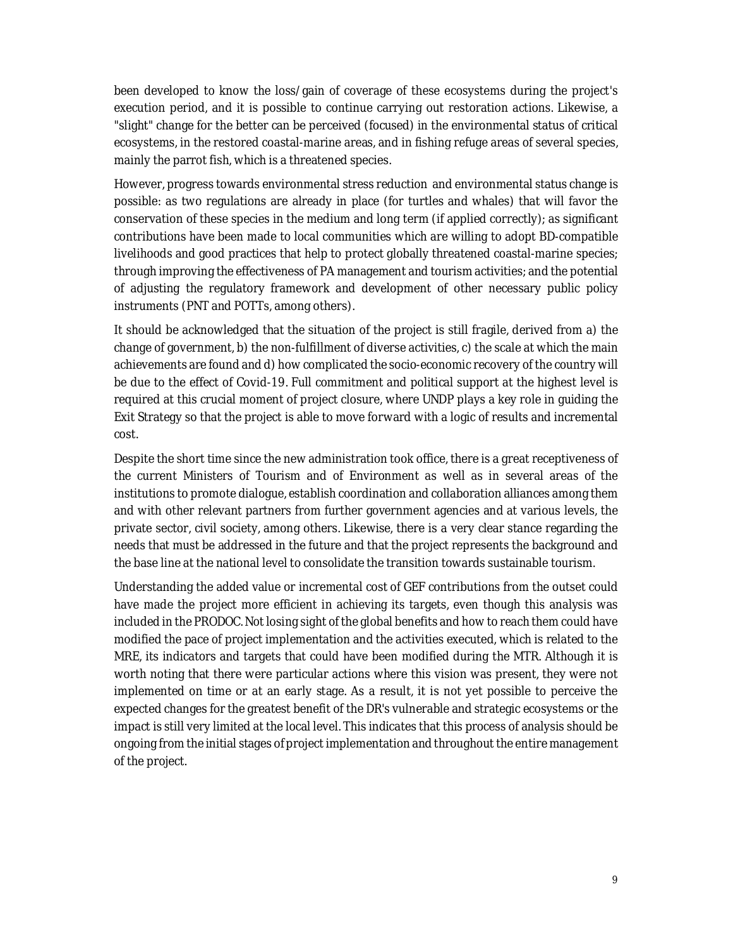been developed to know the loss/gain of coverage of these ecosystems during the project's execution period, and it is possible to continue carrying out restoration actions. Likewise, a "slight" change for the better can be perceived (focused) in the environmental status of critical ecosystems, in the restored coastal-marine areas, and in fishing refuge areas of several species, mainly the parrot fish, which is a threatened species.

However, progress towards environmental stress reduction and environmental status change is possible: as two regulations are already in place (for turtles and whales) that will favor the conservation of these species in the medium and long term (if applied correctly); as significant contributions have been made to local communities which are willing to adopt BD-compatible livelihoods and good practices that help to protect globally threatened coastal-marine species; through improving the effectiveness of PA management and tourism activities; and the potential of adjusting the regulatory framework and development of other necessary public policy instruments (PNT and POTTs, among others).

It should be acknowledged that the situation of the project is still fragile, derived from a) the change of government, b) the non-fulfillment of diverse activities, c) the scale at which the main achievements are found and d) how complicated the socio-economic recovery of the country will be due to the effect of Covid-19. Full commitment and political support at the highest level is required at this crucial moment of project closure, where UNDP plays a key role in guiding the Exit Strategy so that the project is able to move forward with a logic of results and incremental cost.

Despite the short time since the new administration took office, there is a great receptiveness of the current Ministers of Tourism and of Environment as well as in several areas of the institutions to promote dialogue, establish coordination and collaboration alliances among them and with other relevant partners from further government agencies and at various levels, the private sector, civil society, among others. Likewise, there is a very clear stance regarding the needs that must be addressed in the future and that the project represents the background and the base line at the national level to consolidate the transition towards sustainable tourism.

Understanding the added value or incremental cost of GEF contributions from the outset could have made the project more efficient in achieving its targets, even though this analysis was included in the PRODOC. Not losing sight of the global benefits and how to reach them could have modified the pace of project implementation and the activities executed, which is related to the MRE, its indicators and targets that could have been modified during the MTR. Although it is worth noting that there were particular actions where this vision was present, they were not implemented on time or at an early stage. As a result, it is not yet possible to perceive the expected changes for the greatest benefit of the DR's vulnerable and strategic ecosystems or the impact is still very limited at the local level. This indicates that this process of analysis should be ongoing from the initial stages of project implementation and throughout the entire management of the project.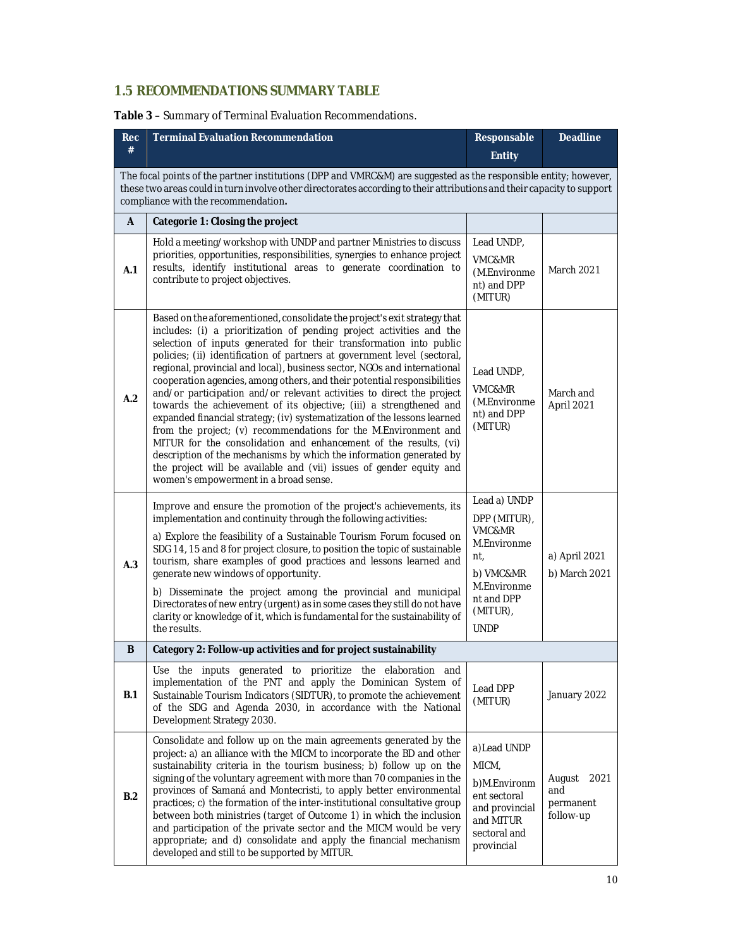## **1.5 RECOMMENDATIONS SUMMARY TABLE**

### **Table 3** – Summary of Terminal Evaluation Recommendations.

| <b>Rec</b><br>#                                                                                                                                                                                                                                                                  | <b>Terminal Evaluation Recommendation</b>                                                                                                                                                                                                                                                                                                                                                                                                                                                                                                                                                                                                                                                                                                                                                                                                                                                                                                                                                                            | Responsable                                                                                                                       | <b>Deadline</b>                                 |
|----------------------------------------------------------------------------------------------------------------------------------------------------------------------------------------------------------------------------------------------------------------------------------|----------------------------------------------------------------------------------------------------------------------------------------------------------------------------------------------------------------------------------------------------------------------------------------------------------------------------------------------------------------------------------------------------------------------------------------------------------------------------------------------------------------------------------------------------------------------------------------------------------------------------------------------------------------------------------------------------------------------------------------------------------------------------------------------------------------------------------------------------------------------------------------------------------------------------------------------------------------------------------------------------------------------|-----------------------------------------------------------------------------------------------------------------------------------|-------------------------------------------------|
|                                                                                                                                                                                                                                                                                  |                                                                                                                                                                                                                                                                                                                                                                                                                                                                                                                                                                                                                                                                                                                                                                                                                                                                                                                                                                                                                      | <b>Entity</b>                                                                                                                     |                                                 |
| The focal points of the partner institutions (DPP and VMRC&M) are suggested as the responsible entity; however,<br>these two areas could in turn involve other directorates according to their attributions and their capacity to support<br>compliance with the recommendation. |                                                                                                                                                                                                                                                                                                                                                                                                                                                                                                                                                                                                                                                                                                                                                                                                                                                                                                                                                                                                                      |                                                                                                                                   |                                                 |
| A                                                                                                                                                                                                                                                                                | Categorie 1: Closing the project                                                                                                                                                                                                                                                                                                                                                                                                                                                                                                                                                                                                                                                                                                                                                                                                                                                                                                                                                                                     |                                                                                                                                   |                                                 |
| A.1                                                                                                                                                                                                                                                                              | Hold a meeting/workshop with UNDP and partner Ministries to discuss<br>priorities, opportunities, responsibilities, synergies to enhance project<br>results, identify institutional areas to generate coordination to<br>contribute to project objectives.                                                                                                                                                                                                                                                                                                                                                                                                                                                                                                                                                                                                                                                                                                                                                           | Lead UNDP,<br><b>VMC&amp;MR</b><br>(M.Environme<br>nt) and DPP<br>(MITUR)                                                         | <b>March 2021</b>                               |
| A.2                                                                                                                                                                                                                                                                              | Based on the aforementioned, consolidate the project's exit strategy that<br>includes: (i) a prioritization of pending project activities and the<br>selection of inputs generated for their transformation into public<br>policies; (ii) identification of partners at government level (sectoral,<br>regional, provincial and local), business sector, NGOs and international<br>cooperation agencies, among others, and their potential responsibilities<br>and/or participation and/or relevant activities to direct the project<br>towards the achievement of its objective; (iii) a strengthened and<br>expanded financial strategy; (iv) systematization of the lessons learned<br>from the project; (v) recommendations for the M.Environment and<br>MITUR for the consolidation and enhancement of the results, (vi)<br>description of the mechanisms by which the information generated by<br>the project will be available and (vii) issues of gender equity and<br>women's empowerment in a broad sense. | Lead UNDP,<br>VMC&MR<br>(M.Environme<br>nt) and DPP<br>(MITUR)                                                                    | March and<br>April 2021                         |
| A.3                                                                                                                                                                                                                                                                              | Improve and ensure the promotion of the project's achievements, its<br>implementation and continuity through the following activities:<br>a) Explore the feasibility of a Sustainable Tourism Forum focused on<br>SDG 14, 15 and 8 for project closure, to position the topic of sustainable<br>tourism, share examples of good practices and lessons learned and<br>generate new windows of opportunity.<br>b) Disseminate the project among the provincial and municipal<br>Directorates of new entry (urgent) as in some cases they still do not have<br>clarity or knowledge of it, which is fundamental for the sustainability of<br>the results.                                                                                                                                                                                                                                                                                                                                                               | Lead a) UNDP<br>DPP (MITUR),<br>VMC&MR<br>M.Environme<br>nt,<br>b) VMC&MR<br>M.Environme<br>nt and DPP<br>(MITUR),<br><b>UNDP</b> | a) April 2021<br>b) March 2021                  |
| B                                                                                                                                                                                                                                                                                | Category 2: Follow-up activities and for project sustainability                                                                                                                                                                                                                                                                                                                                                                                                                                                                                                                                                                                                                                                                                                                                                                                                                                                                                                                                                      |                                                                                                                                   |                                                 |
| B.1                                                                                                                                                                                                                                                                              | Use the inputs generated to prioritize the elaboration and<br>implementation of the PNT and apply the Dominican System of<br>Sustainable Tourism Indicators (SIDTUR), to promote the achievement<br>of the SDG and Agenda 2030, in accordance with the National<br>Development Strategy 2030.                                                                                                                                                                                                                                                                                                                                                                                                                                                                                                                                                                                                                                                                                                                        | Lead DPP<br>(MITUR)                                                                                                               | January 2022                                    |
| B.2                                                                                                                                                                                                                                                                              | Consolidate and follow up on the main agreements generated by the<br>project: a) an alliance with the MICM to incorporate the BD and other<br>sustainability criteria in the tourism business; b) follow up on the<br>signing of the voluntary agreement with more than 70 companies in the<br>provinces of Samaná and Montecristi, to apply better environmental<br>practices; c) the formation of the inter-institutional consultative group<br>between both ministries (target of Outcome 1) in which the inclusion<br>and participation of the private sector and the MICM would be very<br>appropriate; and d) consolidate and apply the financial mechanism<br>developed and still to be supported by MITUR.                                                                                                                                                                                                                                                                                                   | a) Lead UNDP<br>MICM,<br>b)M.Environm<br>ent sectoral<br>and provincial<br>and MITUR<br>sectoral and<br>provincial                | August<br>2021<br>and<br>permanent<br>follow-up |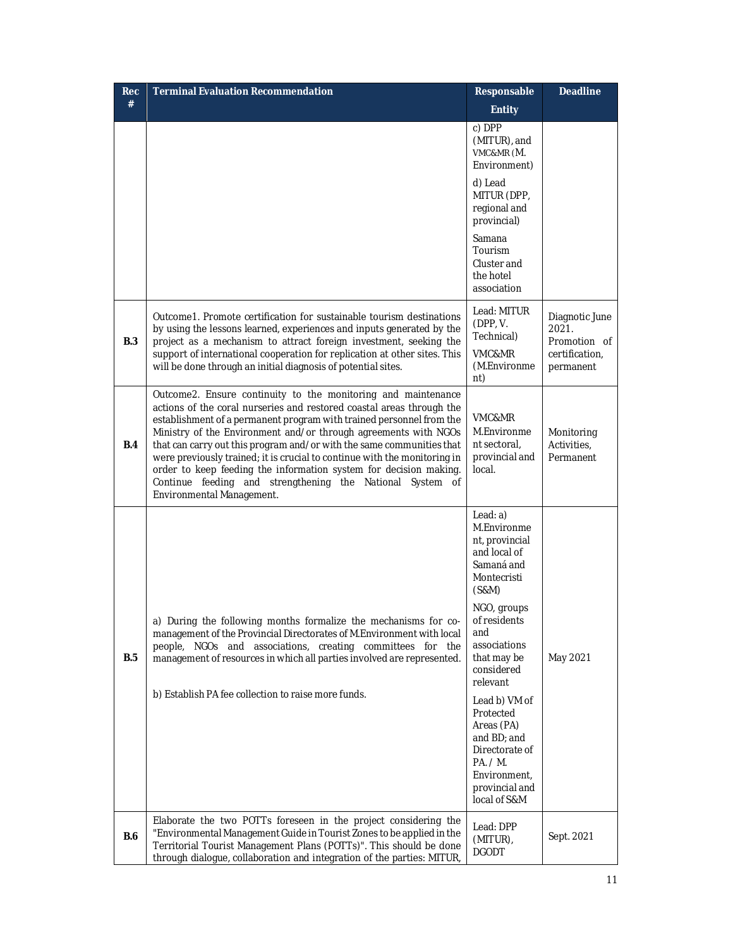| <b>Rec</b> | <b>Terminal Evaluation Recommendation</b>                                                                                                                                                                                                                                                                                                                                                                                                                                                                                                                                                              | Responsable                                                                                                                                                                                                                                                                                                                                 | <b>Deadline</b>                                                        |
|------------|--------------------------------------------------------------------------------------------------------------------------------------------------------------------------------------------------------------------------------------------------------------------------------------------------------------------------------------------------------------------------------------------------------------------------------------------------------------------------------------------------------------------------------------------------------------------------------------------------------|---------------------------------------------------------------------------------------------------------------------------------------------------------------------------------------------------------------------------------------------------------------------------------------------------------------------------------------------|------------------------------------------------------------------------|
| #          |                                                                                                                                                                                                                                                                                                                                                                                                                                                                                                                                                                                                        | <b>Entity</b>                                                                                                                                                                                                                                                                                                                               |                                                                        |
|            |                                                                                                                                                                                                                                                                                                                                                                                                                                                                                                                                                                                                        | c) DPP<br>(MITUR), and<br>VMC&MR (M.<br>Environment)                                                                                                                                                                                                                                                                                        |                                                                        |
|            |                                                                                                                                                                                                                                                                                                                                                                                                                                                                                                                                                                                                        | d) Lead<br>MITUR (DPP,<br>regional and<br>provincial)                                                                                                                                                                                                                                                                                       |                                                                        |
|            |                                                                                                                                                                                                                                                                                                                                                                                                                                                                                                                                                                                                        | Samana<br>Tourism<br>Cluster and<br>the hotel<br>association                                                                                                                                                                                                                                                                                |                                                                        |
| B.3        | Outcome 1. Promote certification for sustainable tourism destinations<br>by using the lessons learned, experiences and inputs generated by the<br>project as a mechanism to attract foreign investment, seeking the<br>support of international cooperation for replication at other sites. This<br>will be done through an initial diagnosis of potential sites.                                                                                                                                                                                                                                      | Lead: MITUR<br>(DPP, V.<br>Technical)<br>VMC&MR<br>(M.Environme                                                                                                                                                                                                                                                                             | Diagnotic June<br>2021.<br>Promotion of<br>certification,<br>permanent |
| B.4        | Outcome2. Ensure continuity to the monitoring and maintenance<br>actions of the coral nurseries and restored coastal areas through the<br>establishment of a permanent program with trained personnel from the<br>Ministry of the Environment and/or through agreements with NGOs<br>that can carry out this program and/or with the same communities that<br>were previously trained; it is crucial to continue with the monitoring in<br>order to keep feeding the information system for decision making.<br>Continue feeding and strengthening the National System of<br>Environmental Management. | nt)<br>VMC&MR<br>M.Environme<br>nt sectoral,<br>provincial and<br>local.                                                                                                                                                                                                                                                                    | Monitoring<br>Activities,<br>Permanent                                 |
| B.5        | a) During the following months formalize the mechanisms for co-<br>management of the Provincial Directorates of M.Environment with local<br>people, NGOs and associations, creating committees for the<br>management of resources in which all parties involved are represented.<br>b) Establish PA fee collection to raise more funds.                                                                                                                                                                                                                                                                | Lead: $a)$<br>M.Environme<br>nt, provincial<br>and local of<br>Samaná and<br>Montecristi<br>(S&M)<br>NGO, groups<br>of residents<br>and<br>associations<br>that may be<br>considered<br>relevant<br>Lead b) VM of<br>Protected<br>Areas (PA)<br>and BD; and<br>Directorate of<br>PA. / M.<br>Environment,<br>provincial and<br>local of S&M | May 2021                                                               |
| <b>B.6</b> | Elaborate the two POTTs foreseen in the project considering the<br>"Environmental Management Guide in Tourist Zones to be applied in the<br>Territorial Tourist Management Plans (POTTs)". This should be done<br>through dialogue, collaboration and integration of the parties: MITUR,                                                                                                                                                                                                                                                                                                               | Lead: DPP<br>(MITUR),<br><b>DGODT</b>                                                                                                                                                                                                                                                                                                       | Sept. 2021                                                             |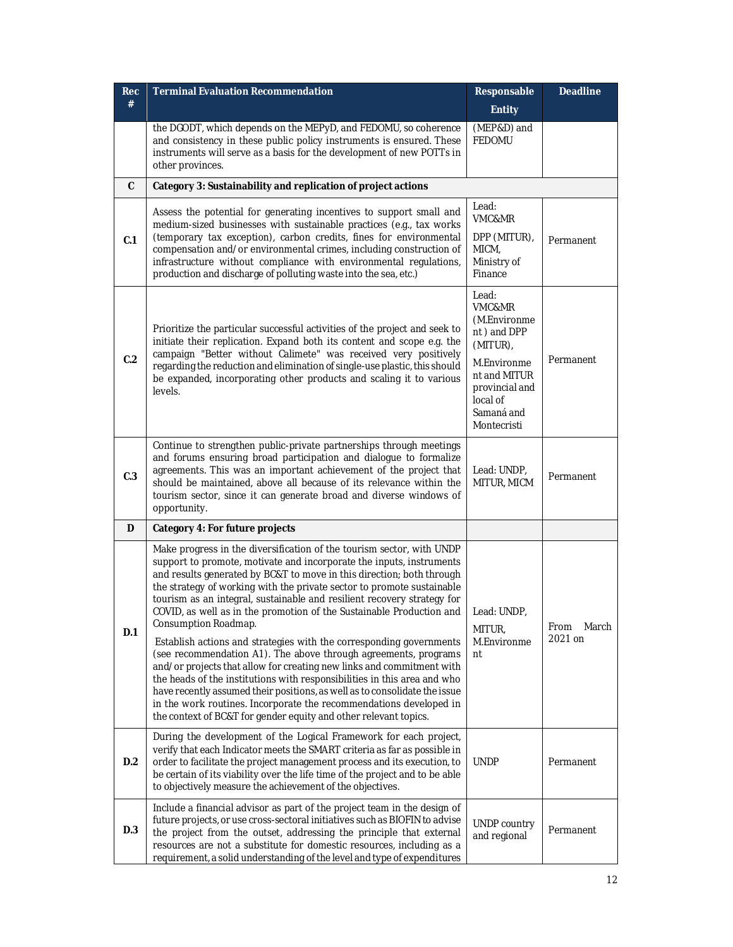| <b>Rec</b> | <b>Terminal Evaluation Recommendation</b>                                                                                                                                                                                                                                                                                                                                                                                                                                                                                                                                                                                                                                                                                                                                                                                                                | Responsable                                                                                                                                          | <b>Deadline</b>          |
|------------|----------------------------------------------------------------------------------------------------------------------------------------------------------------------------------------------------------------------------------------------------------------------------------------------------------------------------------------------------------------------------------------------------------------------------------------------------------------------------------------------------------------------------------------------------------------------------------------------------------------------------------------------------------------------------------------------------------------------------------------------------------------------------------------------------------------------------------------------------------|------------------------------------------------------------------------------------------------------------------------------------------------------|--------------------------|
| #          |                                                                                                                                                                                                                                                                                                                                                                                                                                                                                                                                                                                                                                                                                                                                                                                                                                                          | <b>Entity</b>                                                                                                                                        |                          |
|            | the DGODT, which depends on the MEPyD, and FEDOMU, so coherence<br>and consistency in these public policy instruments is ensured. These<br>instruments will serve as a basis for the development of new POTTs in<br>other provinces.                                                                                                                                                                                                                                                                                                                                                                                                                                                                                                                                                                                                                     | (MEP&D) and<br><b>FEDOMU</b>                                                                                                                         |                          |
| C          | Category 3: Sustainability and replication of project actions                                                                                                                                                                                                                                                                                                                                                                                                                                                                                                                                                                                                                                                                                                                                                                                            |                                                                                                                                                      |                          |
| C.1        | Assess the potential for generating incentives to support small and<br>medium-sized businesses with sustainable practices (e.g., tax works<br>(temporary tax exception), carbon credits, fines for environmental<br>compensation and/or environmental crimes, including construction of<br>infrastructure without compliance with environmental regulations,<br>production and discharge of polluting waste into the sea, etc.)                                                                                                                                                                                                                                                                                                                                                                                                                          | Lead:<br>VMC&MR<br>DPP (MITUR),<br>MICM,<br>Ministry of<br>Finance                                                                                   | Permanent                |
| C.2        | Prioritize the particular successful activities of the project and seek to<br>initiate their replication. Expand both its content and scope e.g. the<br>campaign "Better without Calimete" was received very positively<br>regarding the reduction and elimination of single-use plastic, this should<br>be expanded, incorporating other products and scaling it to various<br>levels.                                                                                                                                                                                                                                                                                                                                                                                                                                                                  | Lead:<br>VMC&MR<br>(M.Environme<br>nt) and DPP<br>(MITUR),<br>M.Environme<br>nt and MITUR<br>provincial and<br>local of<br>Samaná and<br>Montecristi | Permanent                |
| C.3        | Continue to strengthen public-private partnerships through meetings<br>and forums ensuring broad participation and dialogue to formalize<br>agreements. This was an important achievement of the project that<br>should be maintained, above all because of its relevance within the<br>tourism sector, since it can generate broad and diverse windows of<br>opportunity.                                                                                                                                                                                                                                                                                                                                                                                                                                                                               | Lead: UNDP,<br>MITUR, MICM                                                                                                                           | Permanent                |
| D          | Category 4: For future projects                                                                                                                                                                                                                                                                                                                                                                                                                                                                                                                                                                                                                                                                                                                                                                                                                          |                                                                                                                                                      |                          |
| D.1        | Make progress in the diversification of the tourism sector, with UNDP<br>support to promote, motivate and incorporate the inputs, instruments<br>and results generated by BC&T to move in this direction; both through<br>the strategy of working with the private sector to promote sustainable<br>tourism as an integral, sustainable and resilient recovery strategy for<br>COVID, as well as in the promotion of the Sustainable Production and<br>Consumption Roadmap.<br>Establish actions and strategies with the corresponding governments<br>(see recommendation A1). The above through agreements, programs<br>and/or projects that allow for creating new links and commitment with<br>the heads of the institutions with responsibilities in this area and who<br>have recently assumed their positions, as well as to consolidate the issue | Lead: UNDP,<br>MITUR,<br>M.Environme<br>nt                                                                                                           | From<br>March<br>2021 on |
| D.2        | in the work routines. Incorporate the recommendations developed in<br>the context of BC&T for gender equity and other relevant topics.<br>During the development of the Logical Framework for each project,<br>verify that each Indicator meets the SMART criteria as far as possible in<br>order to facilitate the project management process and its execution, to<br>be certain of its viability over the life time of the project and to be able<br>to objectively measure the achievement of the objectives.                                                                                                                                                                                                                                                                                                                                        | <b>UNDP</b>                                                                                                                                          | Permanent                |
| D.3        | Include a financial advisor as part of the project team in the design of<br>future projects, or use cross-sectoral initiatives such as BIOFIN to advise<br>the project from the outset, addressing the principle that external<br>resources are not a substitute for domestic resources, including as a<br>requirement, a solid understanding of the level and type of expenditures                                                                                                                                                                                                                                                                                                                                                                                                                                                                      | UNDP country<br>and regional                                                                                                                         | Permanent                |